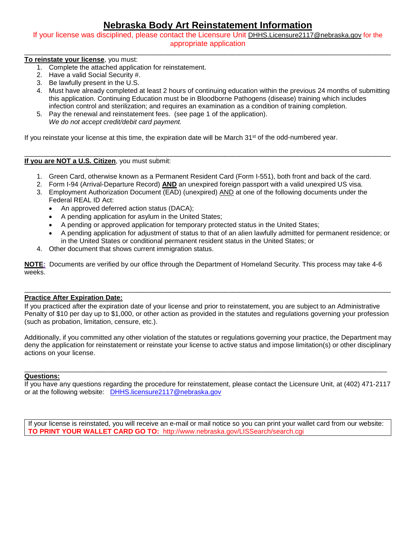# **Nebraska Body Art Reinstatement Information**

If your license was disciplined, please contact the Licensure Unit [DHHS.Licensure2117@nebraska.gov](mailto:DHHS.Licensure2117@nebraska.gov) for the appropriate application \_\_\_\_\_\_\_\_\_\_\_\_\_\_\_\_\_\_\_\_\_\_\_\_\_\_\_\_\_\_\_\_\_\_\_\_\_\_\_\_\_\_\_\_\_\_\_\_\_\_\_\_\_\_\_\_\_\_\_\_\_\_\_\_\_\_\_\_\_\_\_\_\_\_\_\_\_\_\_\_\_\_\_\_\_\_\_\_\_\_\_\_\_\_\_\_\_

## **To reinstate your license**, you must:

- 1. Complete the attached application for reinstatement.
- 2. Have a valid Social Security #.
- 3. Be lawfully present in the U.S.
- 4. Must have already completed at least 2 hours of continuing education within the previous 24 months of submitting this application. Continuing Education must be in Bloodborne Pathogens (disease) training which includes infection control and sterilization; and requires an examination as a condition of training completion.
- 5. Pay the renewal and reinstatement fees. (see page 1 of the application). *We do not accept credit/debit card payment.*

If you reinstate your license at this time, the expiration date will be March  $31<sup>st</sup>$  of the odd-numbered year.

#### $\_$  ,  $\_$  ,  $\_$  ,  $\_$  ,  $\_$  ,  $\_$  ,  $\_$  ,  $\_$  ,  $\_$  ,  $\_$  ,  $\_$  ,  $\_$  ,  $\_$  ,  $\_$  ,  $\_$  ,  $\_$  ,  $\_$  ,  $\_$  ,  $\_$  ,  $\_$  ,  $\_$  ,  $\_$  ,  $\_$  ,  $\_$  ,  $\_$  ,  $\_$  ,  $\_$  ,  $\_$  ,  $\_$  ,  $\_$  ,  $\_$  ,  $\_$  ,  $\_$  ,  $\_$  ,  $\_$  ,  $\_$  ,  $\_$  , **If you are NOT a U.S. Citizen**, you must submit:

- 1. Green Card, otherwise known as a Permanent Resident Card (Form I-551), both front and back of the card.
- 2. Form I-94 (Arrival-Departure Record) **AND** an unexpired foreign passport with a valid unexpired US visa.
- 3. Employment Authorization Document (EAD) (unexpired) AND at one of the following documents under the Federal REAL ID Act:
	- An approved deferred action status (DACA);
	- A pending application for asylum in the United States;
	- A pending or approved application for temporary protected status in the United States;
	- A pending application for adjustment of status to that of an alien lawfully admitted for permanent residence; or in the United States or conditional permanent resident status in the United States; or
- 4. Other document that shows current immigration status.

**NOTE:** Documents are verified by our office through the Department of Homeland Security. This process may take 4-6 weeks.

## **Practice After Expiration Date:**

If you practiced after the expiration date of your license and prior to reinstatement, you are subject to an Administrative Penalty of \$10 per day up to \$1,000, or other action as provided in the statutes and regulations governing your profession (such as probation, limitation, censure, etc.).

\_\_\_\_\_\_\_\_\_\_\_\_\_\_\_\_\_\_\_\_\_\_\_\_\_\_\_\_\_\_\_\_\_\_\_\_\_\_\_\_\_\_\_\_\_\_\_\_\_\_\_\_\_\_\_\_\_\_\_\_\_\_\_\_\_\_\_\_\_\_\_\_\_\_\_\_\_\_\_\_\_\_\_\_\_\_\_\_\_\_\_\_\_\_\_\_\_

Additionally, if you committed any other violation of the statutes or regulations governing your practice, the Department may deny the application for reinstatement or reinstate your license to active status and impose limitation(s) or other disciplinary actions on your license.

#### \_\_\_\_\_\_\_\_\_\_\_\_\_\_\_\_\_\_\_\_\_\_\_\_\_\_\_\_\_\_\_\_\_\_\_\_\_\_\_\_\_\_\_\_\_\_\_\_\_\_\_\_\_\_\_\_\_\_\_\_\_\_\_\_\_\_\_\_\_\_\_\_\_\_\_\_\_\_\_\_\_\_\_\_\_\_\_\_\_\_\_\_\_\_\_\_ **Questions:**

If you have any questions regarding the procedure for reinstatement, please contact the Licensure Unit, at (402) 471-2117 or at the following website: [DHHS.licensure2117@nebraska.gov](mailto:DHHS.licensure2117@nebraska.gov)

If your license is reinstated, you will receive an e-mail or mail notice so you can print your wallet card from our website: **TO PRINT YOUR WALLET CARD GO TO:** http://www.nebraska.gov/LISSearch/search.cgi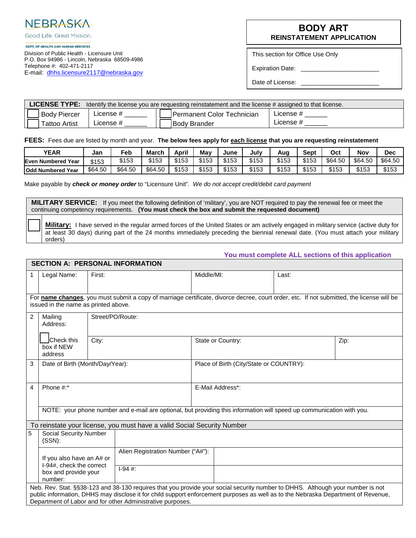

Good Life, Great Mission.

#### DEPT. OF HEALTH AND HUMAN SERVICES

Division of Public Health - Licensure Unit P.O. Box 94986 - Lincoln, Nebraska 68509-4986 Telephone #: 402-471-2117 E-mail: [dhhs.licensure2117@nebraska.gov](mailto:dhhs.licensure2117@nebraska.gov)

## **BODY ART REINSTATEMENT APPLICATION**

This section for Office Use Only

Expiration Date:

Date of License:

|                     | LICENSE TYPE: Identify the license you are requesting reinstatement and the license # assigned to that license. |  |                            |           |  |  |  |
|---------------------|-----------------------------------------------------------------------------------------------------------------|--|----------------------------|-----------|--|--|--|
| <b>Body Piercer</b> | License #                                                                                                       |  | Permanent Color Technician | License # |  |  |  |
| Tattoo Artist       | $\mathsf{\mathsf{L}}$ icense #                                                                                  |  | <b>Body Brander</b>        | License # |  |  |  |

**FEES:** Fees due are listed by month and year. **The below fees apply for each license that you are requesting reinstatement**

| <b>YEAR</b>               | Jan     | Feb     | March   | April | Mav   | June  | July  | Auc   | Sept  | Oct     | Νον     | Dec     |
|---------------------------|---------|---------|---------|-------|-------|-------|-------|-------|-------|---------|---------|---------|
| <b>Even Numbered Year</b> | \$153   | \$153   | \$153   | \$153 | \$153 | \$153 | \$153 | \$153 | \$153 | \$64.50 | \$64.50 | \$64.50 |
| <b>Odd Numbered Year</b>  | \$64.50 | \$64.50 | \$64.50 | \$153 | \$153 | \$153 | \$153 | \$153 | \$153 | \$153   | \$153   | \$153   |

Make payable by *check or money order* to "Licensure Unit". *We do not accept credit/debit card payment*

**MILITARY SERVICE:** If you meet the following definition of 'military', you are NOT required to pay the renewal fee or meet the continuing competency requirements. **(You must check the box and submit the requested document)**

 **Military:** I have served in the regular armed forces of the United States or am actively engaged in military service (active duty for at least 30 days) during part of the 24 months immediately preceding the biennial renewal date. (You must attach your military orders)

## **You must complete ALL sections of this application**

|                                                                                                                                                                                   | <b>SECTION A: PERSONAL INFORMATION</b>                                                                                |                  |                                                                                                                                                                                                                                                                                                                                   |                                         |                   |       |      |  |  |
|-----------------------------------------------------------------------------------------------------------------------------------------------------------------------------------|-----------------------------------------------------------------------------------------------------------------------|------------------|-----------------------------------------------------------------------------------------------------------------------------------------------------------------------------------------------------------------------------------------------------------------------------------------------------------------------------------|-----------------------------------------|-------------------|-------|------|--|--|
|                                                                                                                                                                                   | Legal Name:                                                                                                           | First:           |                                                                                                                                                                                                                                                                                                                                   | Middle/MI:                              |                   | Last: |      |  |  |
|                                                                                                                                                                                   |                                                                                                                       |                  |                                                                                                                                                                                                                                                                                                                                   |                                         |                   |       |      |  |  |
| For name changes, you must submit a copy of marriage certificate, divorce decree, court order, etc. If not submitted, the license will be<br>issued in the name as printed above. |                                                                                                                       |                  |                                                                                                                                                                                                                                                                                                                                   |                                         |                   |       |      |  |  |
| 2                                                                                                                                                                                 | Mailing<br>Address:                                                                                                   | Street/PO/Route: |                                                                                                                                                                                                                                                                                                                                   |                                         |                   |       |      |  |  |
|                                                                                                                                                                                   | <b>ICheck</b> this<br>box if NEW<br>address                                                                           | City:            |                                                                                                                                                                                                                                                                                                                                   |                                         | State or Country: |       | Zip: |  |  |
| 3                                                                                                                                                                                 | Date of Birth (Month/Day/Year):                                                                                       |                  |                                                                                                                                                                                                                                                                                                                                   | Place of Birth (City/State or COUNTRY): |                   |       |      |  |  |
| 4                                                                                                                                                                                 | Phone #:*                                                                                                             |                  |                                                                                                                                                                                                                                                                                                                                   |                                         | E-Mail Address*:  |       |      |  |  |
|                                                                                                                                                                                   | NOTE: your phone number and e-mail are optional, but providing this information will speed up communication with you. |                  |                                                                                                                                                                                                                                                                                                                                   |                                         |                   |       |      |  |  |
|                                                                                                                                                                                   |                                                                                                                       |                  | To reinstate your license, you must have a valid Social Security Number                                                                                                                                                                                                                                                           |                                         |                   |       |      |  |  |
| 5                                                                                                                                                                                 | <b>Social Security Number</b><br>$(SSN)$ :                                                                            |                  |                                                                                                                                                                                                                                                                                                                                   |                                         |                   |       |      |  |  |
|                                                                                                                                                                                   | Alien Registration Number ("A#"):<br>If you also have an A# or<br>I-94#, check the correct                            |                  |                                                                                                                                                                                                                                                                                                                                   |                                         |                   |       |      |  |  |
|                                                                                                                                                                                   | box and provide your<br>number:                                                                                       |                  | $1-94$ #:                                                                                                                                                                                                                                                                                                                         |                                         |                   |       |      |  |  |
|                                                                                                                                                                                   |                                                                                                                       |                  | Neb. Rev. Stat. §§38-123 and 38-130 requires that you provide your social security number to DHHS. Although your number is not<br>public information, DHHS may disclose it for child support enforcement purposes as well as to the Nebraska Department of Revenue,<br>Department of Labor and for other Administrative purposes. |                                         |                   |       |      |  |  |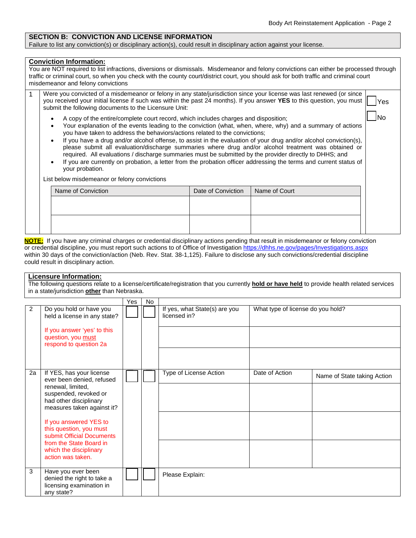No

## **SECTION B: CONVICTION AND LICENSE INFORMATION**

Failure to list any conviction(s) or disciplinary action(s), could result in disciplinary action against your license.

#### **Conviction Information:**

| You are NOT required to list infractions, diversions or dismissals. Misdemeanor and felony convictions can either be processed through |  |
|----------------------------------------------------------------------------------------------------------------------------------------|--|
| traffic or criminal court, so when you check with the county court/district court, you should ask for both traffic and criminal court  |  |
| misdemeanor and felony convictions                                                                                                     |  |

| Were you convicted of a misdemeanor or felony in any state/jurisdiction since your license was last renewed (or since ∣ <sub></sub> |     |
|-------------------------------------------------------------------------------------------------------------------------------------|-----|
| you received your initial license if such was within the past 24 months). If you answer YES to this question, you must              | Yes |
| submit the following documents to the Licensure Unit:                                                                               |     |

- A copy of the entire/complete court record, which includes charges and disposition;
- Your explanation of the events leading to the conviction (what, when, where, why) and a summary of actions you have taken to address the behaviors/actions related to the convictions;
- If you have a drug and/or alcohol offense, to assist in the evaluation of your drug and/or alcohol conviction(s), please submit all evaluation/discharge summaries where drug and/or alcohol treatment was obtained or required. All evaluations / discharge summaries must be submitted by the provider directly to DHHS; and
- If you are currently on probation, a letter from the probation officer addressing the terms and current status of your probation.

List below misdemeanor or felony convictions

| Name of Conviction | Date of Conviction   Name of Court |  |
|--------------------|------------------------------------|--|
|                    |                                    |  |
|                    |                                    |  |
|                    |                                    |  |
|                    |                                    |  |

**NOTE:** If you have any criminal charges or credential disciplinary actions pending that result in misdemeanor or felony conviction or credential discipline, you must report such actions to of Office of Investigation https[://dhhs.ne.gov/pages/Investigations.aspx](https://dhhs.ne.gov/Pages/Investigations.aspx)  within 30 days of the conviction/action (Neb. Rev. Stat. 38-1,125). Failure to disclose any such convictions/credential discipline could result in disciplinary action.

### **Licensure Information:**

The following questions relate to a license/certificate/registration that you currently **hold or have held** to provide health related services in a state/jurisdiction **other** than Nebraska.

|    |                                                                                                                                                                                                                                                                                                                         | Yes | No |                                               |                                   |                             |
|----|-------------------------------------------------------------------------------------------------------------------------------------------------------------------------------------------------------------------------------------------------------------------------------------------------------------------------|-----|----|-----------------------------------------------|-----------------------------------|-----------------------------|
| 2  | Do you hold or have you<br>held a license in any state?<br>If you answer 'yes' to this<br>question, you must<br>respond to question 2a                                                                                                                                                                                  |     |    | If yes, what State(s) are you<br>licensed in? | What type of license do you hold? |                             |
| 2a | If YES, has your license<br>ever been denied, refused<br>renewal, limited,<br>suspended, revoked or<br>had other disciplinary<br>measures taken against it?<br>If you answered YES to<br>this question, you must<br>submit Official Documents<br>from the State Board in<br>which the disciplinary<br>action was taken. |     |    | Type of License Action                        | Date of Action                    | Name of State taking Action |
| 3  | Have you ever been<br>denied the right to take a<br>licensing examination in<br>any state?                                                                                                                                                                                                                              |     |    | Please Explain:                               |                                   |                             |